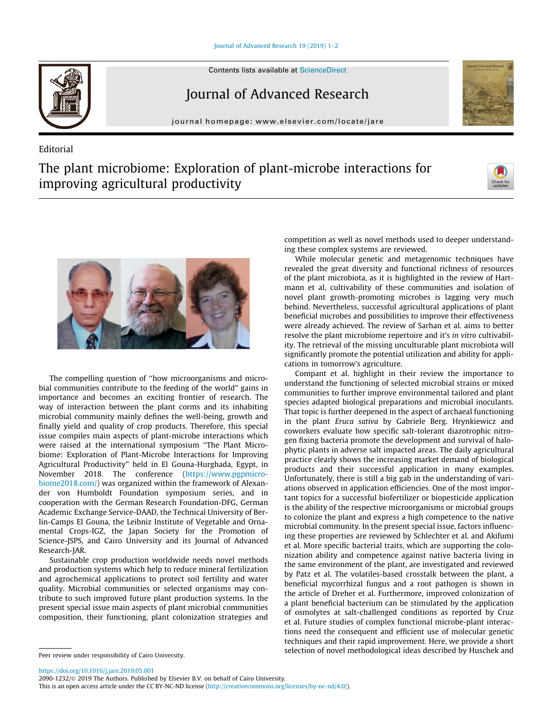

## Journal of Advanced Research

journal homepage: [www.elsevier.com/locate/jare](http://www.elsevier.com/locate/jare)

## Editorial

## The plant microbiome: Exploration of plant-microbe interactions for improving agricultural productivity





The compelling question of ''how microorganisms and microbial communities contribute to the feeding of the world" gains in importance and becomes an exciting frontier of research. The way of interaction between the plant corms and its inhabiting microbial community mainly defines the well-being, growth and finally yield and quality of crop products. Therefore, this special issue compiles main aspects of plant-microbe interactions which were raised at the international symposium "The Plant Microbiome: Exploration of Plant-Microbe Interactions for Improving Agricultural Productivity" held in El Gouna-Hurghada, Egypt, in November 2018. The conference [\(https://www.pgpmicro](https://www.pgpmicrobiome2018.com/)[biome2018.com/](https://www.pgpmicrobiome2018.com/)) was organized within the framework of Alexander von Humboldt Foundation symposium series, and in cooperation with the German Research Foundation-DFG, German Academic Exchange Service-DAAD, the Technical University of Berlin-Camps El Gouna, the Leibniz Institute of Vegetable and Ornamental Crops-IGZ, the Japan Society for the Promotion of Science-JSPS, and Cairo University and its Journal of Advanced Research-JAR.

Sustainable crop production worldwide needs novel methods and production systems which help to reduce mineral fertilization and agrochemical applications to protect soil fertility and water quality. Microbial communities or selected organisms may contribute to such improved future plant production systems. In the present special issue main aspects of plant microbial communities composition, their functioning, plant colonization strategies and competition as well as novel methods used to deeper understanding these complex systems are reviewed.

While molecular genetic and metagenomic techniques have revealed the great diversity and functional richness of resources of the plant microbiota, as it is highlighted in the review of Hartmann et al, cultivability of these communities and isolation of novel plant growth-promoting microbes is lagging very much behind. Nevertheless, successful agricultural applications of plant beneficial microbes and possibilities to improve their effectiveness were already achieved. The review of Sarhan et al. aims to better resolve the plant microbiome repertoire and it's in vitro cultivability. The retrieval of the missing unculturable plant microbiota will significantly promote the potential utilization and ability for applications in tomorrow's agriculture.

Compant et al. highlight in their review the importance to understand the functioning of selected microbial strains or mixed communities to further improve environmental tailored and plant species adapted biological preparations and microbial inoculants. That topic is further deepened in the aspect of archaeal functioning in the plant Eruca sativa by Gabriele Berg. Hrynkiewicz and coworkers evaluate how specific salt-tolerant diazotrophic nitrogen fixing bacteria promote the development and survival of halophytic plants in adverse salt impacted areas. The daily agricultural practice clearly shows the increasing market demand of biological products and their successful application in many examples. Unfortunately, there is still a big gab in the understanding of variations observed in application efficiencies. One of the most important topics for a successful biofertilizer or biopesticide application is the ability of the respective microorganisms or microbial groups to colonize the plant and express a high competence to the native microbial community. In the present special issue, factors influencing these properties are reviewed by Schlechter et al. and Akifumi et al. More specific bacterial traits, which are supporting the colonization ability and competence against native bacteria living in the same environment of the plant, are investigated and reviewed by Patz et al. The volatiles-based crosstalk between the plant, a beneficial mycorrhizal fungus and a root pathogen is shown in the article of Dreher et al. Furthermore, improved colonization of a plant beneficial bacterium can be stimulated by the application of osmolytes at salt-challenged conditions as reported by Cruz et al. Future studies of complex functional microbe-plant interactions need the consequent and efficient use of molecular genetic techniques and their rapid improvement. Here, we provide a short selection of novel methodological ideas described by Huschek and

<https://doi.org/10.1016/j.jare.2019.05.001>

Peer review under responsibility of Cairo University.

<sup>2090-1232/© 2019</sup> The Authors. Published by Elsevier B.V. on behalf of Cairo University.

This is an open access article under the CC BY-NC-ND license ([http://creativecommons.org/licenses/by-nc-nd/4.0/\)](http://creativecommons.org/licenses/by-nc-nd/4.0/).